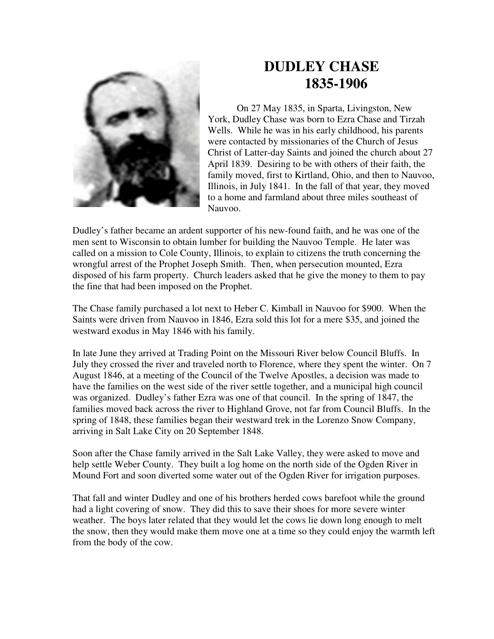

## **DUDLEY CHASE 1835-1906**

On 27 May 1835, in Sparta, Livingston, New York, Dudley Chase was born to Ezra Chase and Tirzah Wells. While he was in his early childhood, his parents were contacted by missionaries of the Church of Jesus Christ of Latter-day Saints and joined the church about 27 April 1839. Desiring to be with others of their faith, the family moved, first to Kirtland, Ohio, and then to Nauvoo, Illinois, in July 1841. In the fall of that year, they moved to a home and farmland about three miles southeast of Nauvoo.

Dudley's father became an ardent supporter of his new-found faith, and he was one of the men sent to Wisconsin to obtain lumber for building the Nauvoo Temple. He later was called on a mission to Cole County, Illinois, to explain to citizens the truth concerning the wrongful arrest of the Prophet Joseph Smith. Then, when persecution mounted, Ezra disposed of his farm property. Church leaders asked that he give the money to them to pay the fine that had been imposed on the Prophet.

The Chase family purchased a lot next to Heber C. Kimball in Nauvoo for \$900. When the Saints were driven from Nauvoo in 1846, Ezra sold this lot for a mere \$35, and joined the westward exodus in May 1846 with his family.

In late June they arrived at Trading Point on the Missouri River below Council Bluffs. In July they crossed the river and traveled north to Florence, where they spent the winter. On 7 August 1846, at a meeting of the Council of the Twelve Apostles, a decision was made to have the families on the west side of the river settle together, and a municipal high council was organized. Dudley's father Ezra was one of that council. In the spring of 1847, the families moved back across the river to Highland Grove, not far from Council Bluffs. In the spring of 1848, these families began their westward trek in the Lorenzo Snow Company, arriving in Salt Lake City on 20 September 1848.

Soon after the Chase family arrived in the Salt Lake Valley, they were asked to move and help settle Weber County. They built a log home on the north side of the Ogden River in Mound Fort and soon diverted some water out of the Ogden River for irrigation purposes.

That fall and winter Dudley and one of his brothers herded cows barefoot while the ground had a light covering of snow. They did this to save their shoes for more severe winter weather. The boys later related that they would let the cows lie down long enough to melt the snow, then they would make them move one at a time so they could enjoy the warmth left from the body of the cow.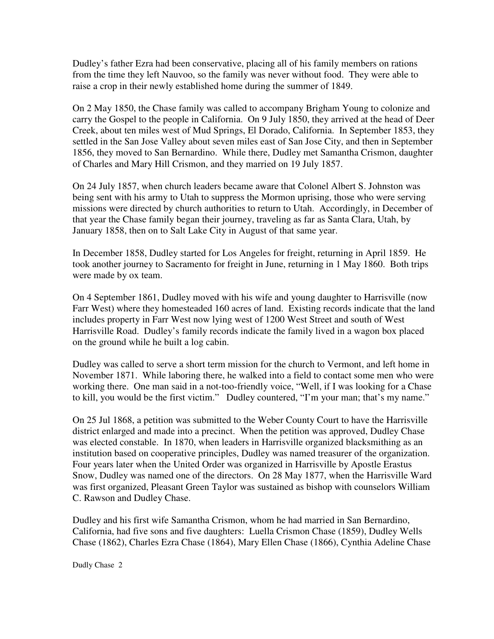Dudley's father Ezra had been conservative, placing all of his family members on rations from the time they left Nauvoo, so the family was never without food. They were able to raise a crop in their newly established home during the summer of 1849.

On 2 May 1850, the Chase family was called to accompany Brigham Young to colonize and carry the Gospel to the people in California. On 9 July 1850, they arrived at the head of Deer Creek, about ten miles west of Mud Springs, El Dorado, California. In September 1853, they settled in the San Jose Valley about seven miles east of San Jose City, and then in September 1856, they moved to San Bernardino. While there, Dudley met Samantha Crismon, daughter of Charles and Mary Hill Crismon, and they married on 19 July 1857.

On 24 July 1857, when church leaders became aware that Colonel Albert S. Johnston was being sent with his army to Utah to suppress the Mormon uprising, those who were serving missions were directed by church authorities to return to Utah. Accordingly, in December of that year the Chase family began their journey, traveling as far as Santa Clara, Utah, by January 1858, then on to Salt Lake City in August of that same year.

In December 1858, Dudley started for Los Angeles for freight, returning in April 1859. He took another journey to Sacramento for freight in June, returning in 1 May 1860. Both trips were made by ox team.

On 4 September 1861, Dudley moved with his wife and young daughter to Harrisville (now Farr West) where they homesteaded 160 acres of land. Existing records indicate that the land includes property in Farr West now lying west of 1200 West Street and south of West Harrisville Road. Dudley's family records indicate the family lived in a wagon box placed on the ground while he built a log cabin.

Dudley was called to serve a short term mission for the church to Vermont, and left home in November 1871. While laboring there, he walked into a field to contact some men who were working there. One man said in a not-too-friendly voice, "Well, if I was looking for a Chase to kill, you would be the first victim." Dudley countered, "I'm your man; that's my name."

On 25 Jul 1868, a petition was submitted to the Weber County Court to have the Harrisville district enlarged and made into a precinct. When the petition was approved, Dudley Chase was elected constable. In 1870, when leaders in Harrisville organized blacksmithing as an institution based on cooperative principles, Dudley was named treasurer of the organization. Four years later when the United Order was organized in Harrisville by Apostle Erastus Snow, Dudley was named one of the directors. On 28 May 1877, when the Harrisville Ward was first organized, Pleasant Green Taylor was sustained as bishop with counselors William C. Rawson and Dudley Chase.

Dudley and his first wife Samantha Crismon, whom he had married in San Bernardino, California, had five sons and five daughters: Luella Crismon Chase (1859), Dudley Wells Chase (1862), Charles Ezra Chase (1864), Mary Ellen Chase (1866), Cynthia Adeline Chase